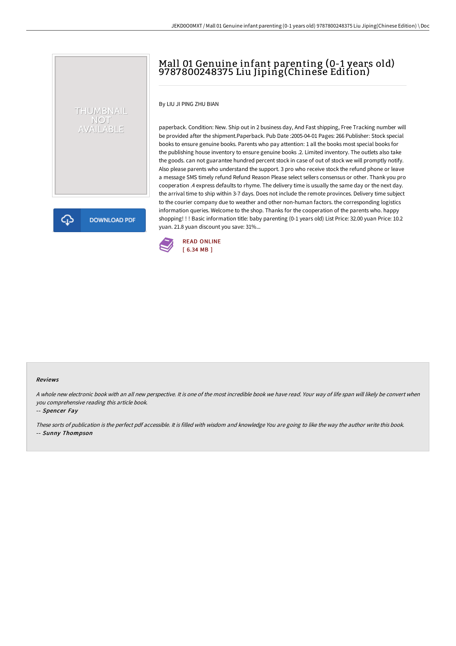# Mall 01 Genuine infant parenting (0-1 years old) 9787800248375 Liu Jiping(Chinese Edition)

By LIU JI PING ZHU BIAN

THUMBNAIL NOT<br>AVAILABLE

**DOWNLOAD PDF** 

paperback. Condition: New. Ship out in 2 business day, And Fast shipping, Free Tracking number will be provided after the shipment.Paperback. Pub Date :2005-04-01 Pages: 266 Publisher: Stock special books to ensure genuine books. Parents who pay attention: 1 all the books most special books for the publishing house inventory to ensure genuine books .2. Limited inventory. The outlets also take the goods. can not guarantee hundred percent stock in case of out of stock we will promptly notify. Also please parents who understand the support. 3 pro who receive stock the refund phone or leave a message SMS timely refund Refund Reason Please select sellers consensus or other. Thank you pro cooperation .4 express defaults to rhyme. The delivery time is usually the same day or the next day. the arrival time to ship within 3-7 days. Does not include the remote provinces. Delivery time subject to the courier company due to weather and other non-human factors. the corresponding logistics information queries. Welcome to the shop. Thanks for the cooperation of the parents who. happy shopping! ! ! Basic information title: baby parenting (0-1 years old) List Price: 32.00 yuan Price: 10.2 yuan. 21.8 yuan discount you save: 31%...



#### Reviews

A whole new electronic book with an all new perspective. It is one of the most incredible book we have read. Your way of life span will likely be convert when you comprehensive reading this article book.

-- Spencer Fay

ঞ

These sorts of publication is the perfect pdf accessible. It is filled with wisdom and knowledge You are going to like the way the author write this book. -- Sunny Thompson